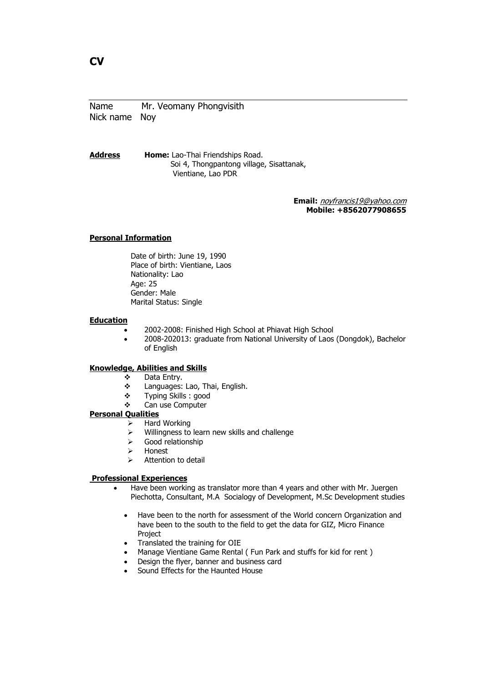Address Home: Lao-Thai Friendships Road. Soi 4, Thongpantong village, Sisattanak, Vientiane, Lao PDR

> Email: noyfrancis19@yahoo.com Mobile: +8562077908655

### Personal Information

Date of birth: June 19, 1990 Place of birth: Vientiane, Laos Nationality: Lao Age: 25 Gender: Male Marital Status: Single

#### **Education**

- 2002-2008: Finished High School at Phiavat High School
	- 2008-202013: graduate from National University of Laos (Dongdok), Bachelor of English

## Knowledge, Abilities and Skills

- Data Entry.
	- $\div$  Languages: Lao, Thai, English.
	- Typing Skills : good
	- Can use Computer

#### Personal Qualities

- $\triangleright$  Hard Working
- $\triangleright$  Willingness to learn new skills and challenge
- $\triangleright$  Good relationship
- > Honest
- $\triangleright$  Attention to detail

#### Professional Experiences

- Have been working as translator more than 4 years and other with Mr. Juergen Piechotta, Consultant, M.A Socialogy of Development, M.Sc Development studies
	- Have been to the north for assessment of the World concern Organization and have been to the south to the field to get the data for GIZ, Micro Finance Project
	- Translated the training for OIE
	- Manage Vientiane Game Rental ( Fun Park and stuffs for kid for rent )
	- Design the flyer, banner and business card
	- Sound Effects for the Haunted House

# CV